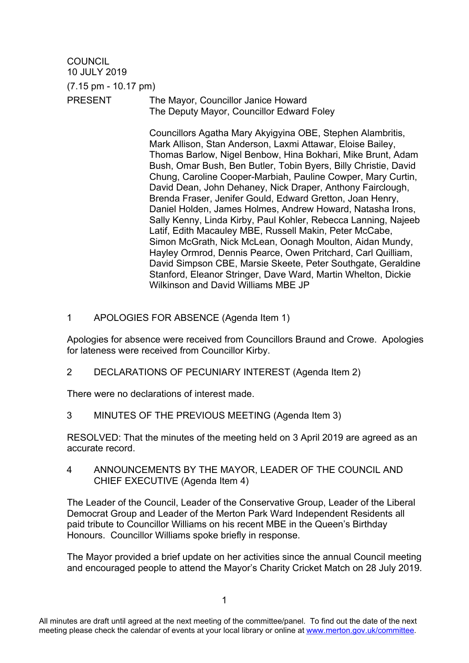**COUNCIL** 10 JULY 2019 (7.15 pm - 10.17 pm) PRESENT The Mayor, Councillor Janice Howard The Deputy Mayor, Councillor Edward Foley

> Councillors Agatha Mary Akyigyina OBE, Stephen Alambritis, Mark Allison, Stan Anderson, Laxmi Attawar, Eloise Bailey, Thomas Barlow, Nigel Benbow, Hina Bokhari, Mike Brunt, Adam Bush, Omar Bush, Ben Butler, Tobin Byers, Billy Christie, David Chung, Caroline Cooper-Marbiah, Pauline Cowper, Mary Curtin, David Dean, John Dehaney, Nick Draper, Anthony Fairclough, Brenda Fraser, Jenifer Gould, Edward Gretton, Joan Henry, Daniel Holden, James Holmes, Andrew Howard, Natasha Irons, Sally Kenny, Linda Kirby, Paul Kohler, Rebecca Lanning, Najeeb Latif, Edith Macauley MBE, Russell Makin, Peter McCabe, Simon McGrath, Nick McLean, Oonagh Moulton, Aidan Mundy, Hayley Ormrod, Dennis Pearce, Owen Pritchard, Carl Quilliam, David Simpson CBE, Marsie Skeete, Peter Southgate, Geraldine Stanford, Eleanor Stringer, Dave Ward, Martin Whelton, Dickie Wilkinson and David Williams MBE JP

1 APOLOGIES FOR ABSENCE (Agenda Item 1)

Apologies for absence were received from Councillors Braund and Crowe. Apologies for lateness were received from Councillor Kirby.

2 DECLARATIONS OF PECUNIARY INTEREST (Agenda Item 2)

There were no declarations of interest made.

3 MINUTES OF THE PREVIOUS MEETING (Agenda Item 3)

RESOLVED: That the minutes of the meeting held on 3 April 2019 are agreed as an accurate record.

4 ANNOUNCEMENTS BY THE MAYOR, LEADER OF THE COUNCIL AND CHIEF EXECUTIVE (Agenda Item 4)

The Leader of the Council, Leader of the Conservative Group, Leader of the Liberal Democrat Group and Leader of the Merton Park Ward Independent Residents all paid tribute to Councillor Williams on his recent MBE in the Queen's Birthday Honours. Councillor Williams spoke briefly in response.

The Mayor provided a brief update on her activities since the annual Council meeting and encouraged people to attend the Mayor's Charity Cricket Match on 28 July 2019.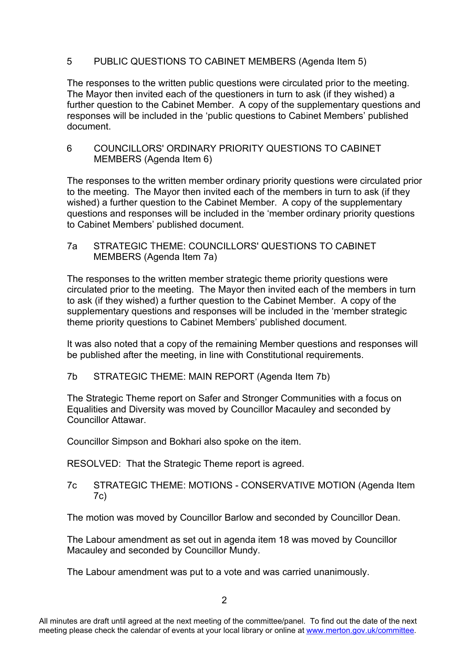## 5 PUBLIC QUESTIONS TO CABINET MEMBERS (Agenda Item 5)

The responses to the written public questions were circulated prior to the meeting. The Mayor then invited each of the questioners in turn to ask (if they wished) a further question to the Cabinet Member. A copy of the supplementary questions and responses will be included in the 'public questions to Cabinet Members' published document.

6 COUNCILLORS' ORDINARY PRIORITY QUESTIONS TO CABINET MEMBERS (Agenda Item 6)

The responses to the written member ordinary priority questions were circulated prior to the meeting. The Mayor then invited each of the members in turn to ask (if they wished) a further question to the Cabinet Member. A copy of the supplementary questions and responses will be included in the 'member ordinary priority questions to Cabinet Members' published document.

7a STRATEGIC THEME: COUNCILLORS' QUESTIONS TO CABINET MEMBERS (Agenda Item 7a)

The responses to the written member strategic theme priority questions were circulated prior to the meeting. The Mayor then invited each of the members in turn to ask (if they wished) a further question to the Cabinet Member. A copy of the supplementary questions and responses will be included in the 'member strategic theme priority questions to Cabinet Members' published document.

It was also noted that a copy of the remaining Member questions and responses will be published after the meeting, in line with Constitutional requirements.

7b STRATEGIC THEME: MAIN REPORT (Agenda Item 7b)

The Strategic Theme report on Safer and Stronger Communities with a focus on Equalities and Diversity was moved by Councillor Macauley and seconded by Councillor Attawar.

Councillor Simpson and Bokhari also spoke on the item.

RESOLVED: That the Strategic Theme report is agreed.

7c STRATEGIC THEME: MOTIONS - CONSERVATIVE MOTION (Agenda Item 7c)

The motion was moved by Councillor Barlow and seconded by Councillor Dean.

The Labour amendment as set out in agenda item 18 was moved by Councillor Macauley and seconded by Councillor Mundy.

The Labour amendment was put to a vote and was carried unanimously.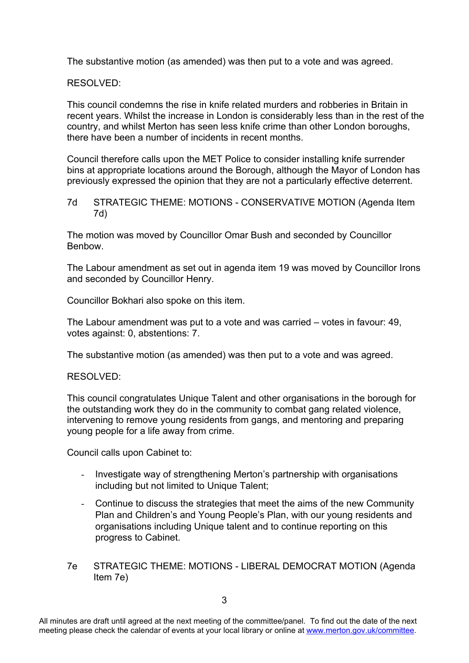The substantive motion (as amended) was then put to a vote and was agreed.

RESOLVED:

This council condemns the rise in knife related murders and robberies in Britain in recent years. Whilst the increase in London is considerably less than in the rest of the country, and whilst Merton has seen less knife crime than other London boroughs, there have been a number of incidents in recent months.

Council therefore calls upon the MET Police to consider installing knife surrender bins at appropriate locations around the Borough, although the Mayor of London has previously expressed the opinion that they are not a particularly effective deterrent.

7d STRATEGIC THEME: MOTIONS - CONSERVATIVE MOTION (Agenda Item 7d)

The motion was moved by Councillor Omar Bush and seconded by Councillor Benbow.

The Labour amendment as set out in agenda item 19 was moved by Councillor Irons and seconded by Councillor Henry.

Councillor Bokhari also spoke on this item.

The Labour amendment was put to a vote and was carried – votes in favour: 49, votes against: 0, abstentions: 7.

The substantive motion (as amended) was then put to a vote and was agreed.

RESOLVED:

This council congratulates Unique Talent and other organisations in the borough for the outstanding work they do in the community to combat gang related violence, intervening to remove young residents from gangs, and mentoring and preparing young people for a life away from crime.

Council calls upon Cabinet to:

- Investigate way of strengthening Merton's partnership with organisations including but not limited to Unique Talent:
- Continue to discuss the strategies that meet the aims of the new Community Plan and Children's and Young People's Plan, with our young residents and organisations including Unique talent and to continue reporting on this progress to Cabinet.
- 7e STRATEGIC THEME: MOTIONS LIBERAL DEMOCRAT MOTION (Agenda Item 7e)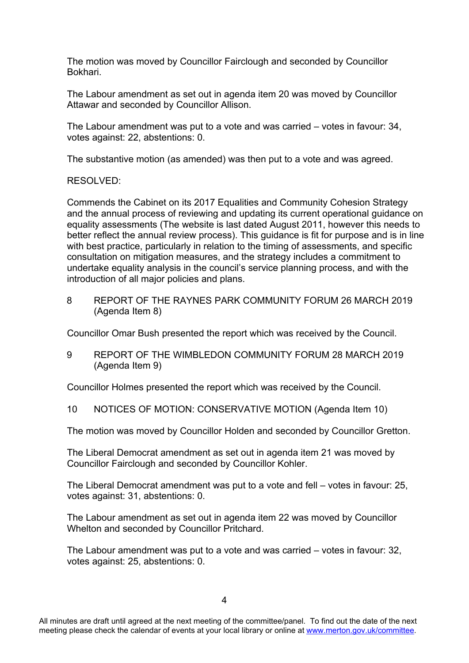The motion was moved by Councillor Fairclough and seconded by Councillor Bokhari.

The Labour amendment as set out in agenda item 20 was moved by Councillor Attawar and seconded by Councillor Allison.

The Labour amendment was put to a vote and was carried – votes in favour: 34, votes against: 22, abstentions: 0.

The substantive motion (as amended) was then put to a vote and was agreed.

#### RESOLVED:

Commends the Cabinet on its 2017 Equalities and Community Cohesion Strategy and the annual process of reviewing and updating its current operational guidance on equality assessments (The website is last dated August 2011, however this needs to better reflect the annual review process). This guidance is fit for purpose and is in line with best practice, particularly in relation to the timing of assessments, and specific consultation on mitigation measures, and the strategy includes a commitment to undertake equality analysis in the council's service planning process, and with the introduction of all major policies and plans.

8 REPORT OF THE RAYNES PARK COMMUNITY FORUM 26 MARCH 2019 (Agenda Item 8)

Councillor Omar Bush presented the report which was received by the Council.

9 REPORT OF THE WIMBLEDON COMMUNITY FORUM 28 MARCH 2019 (Agenda Item 9)

Councillor Holmes presented the report which was received by the Council.

10 NOTICES OF MOTION: CONSERVATIVE MOTION (Agenda Item 10)

The motion was moved by Councillor Holden and seconded by Councillor Gretton.

The Liberal Democrat amendment as set out in agenda item 21 was moved by Councillor Fairclough and seconded by Councillor Kohler.

The Liberal Democrat amendment was put to a vote and fell – votes in favour: 25, votes against: 31, abstentions: 0.

The Labour amendment as set out in agenda item 22 was moved by Councillor Whelton and seconded by Councillor Pritchard.

The Labour amendment was put to a vote and was carried – votes in favour: 32, votes against: 25, abstentions: 0.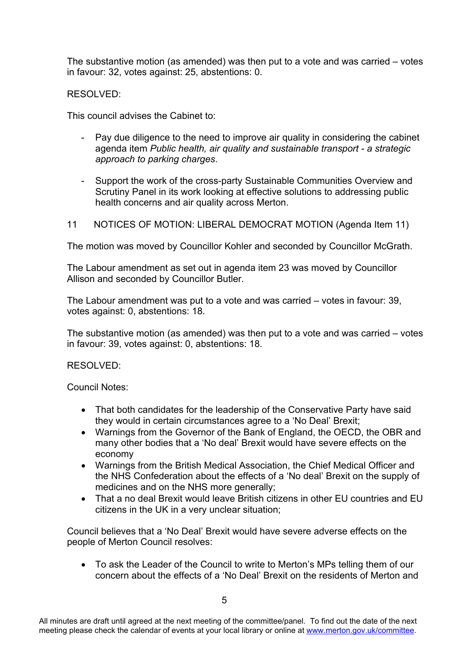The substantive motion (as amended) was then put to a vote and was carried – votes in favour: 32, votes against: 25, abstentions: 0.

## RESOLVED:

This council advises the Cabinet to:

- Pay due diligence to the need to improve air quality in considering the cabinet agenda item *Public health, air quality and sustainable transport - a strategic approach to parking charges*.
- Support the work of the cross-party Sustainable Communities Overview and Scrutiny Panel in its work looking at effective solutions to addressing public health concerns and air quality across Merton.
- 11 NOTICES OF MOTION: LIBERAL DEMOCRAT MOTION (Agenda Item 11)

The motion was moved by Councillor Kohler and seconded by Councillor McGrath.

The Labour amendment as set out in agenda item 23 was moved by Councillor Allison and seconded by Councillor Butler.

The Labour amendment was put to a vote and was carried – votes in favour: 39, votes against: 0, abstentions: 18.

The substantive motion (as amended) was then put to a vote and was carried – votes in favour: 39, votes against: 0, abstentions: 18.

### RESOLVED:

Council Notes:

- That both candidates for the leadership of the Conservative Party have said they would in certain circumstances agree to a 'No Deal' Brexit;
- Warnings from the Governor of the Bank of England, the OECD, the OBR and many other bodies that a 'No deal' Brexit would have severe effects on the economy
- Warnings from the British Medical Association, the Chief Medical Officer and the NHS Confederation about the effects of a 'No deal' Brexit on the supply of medicines and on the NHS more generally;
- That a no deal Brexit would leave British citizens in other EU countries and EU citizens in the UK in a very unclear situation;

Council believes that a 'No Deal' Brexit would have severe adverse effects on the people of Merton Council resolves:

 To ask the Leader of the Council to write to Merton's MPs telling them of our concern about the effects of a 'No Deal' Brexit on the residents of Merton and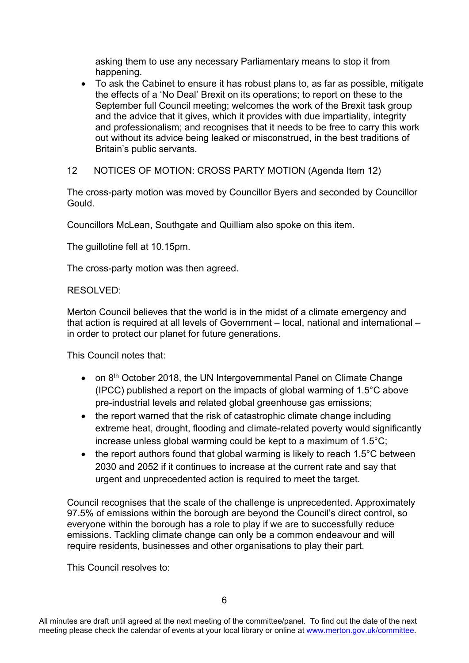asking them to use any necessary Parliamentary means to stop it from happening.

- To ask the Cabinet to ensure it has robust plans to, as far as possible, mitigate the effects of a 'No Deal' Brexit on its operations; to report on these to the September full Council meeting; welcomes the work of the Brexit task group and the advice that it gives, which it provides with due impartiality, integrity and professionalism; and recognises that it needs to be free to carry this work out without its advice being leaked or misconstrued, in the best traditions of Britain's public servants.
- 12 NOTICES OF MOTION: CROSS PARTY MOTION (Agenda Item 12)

The cross-party motion was moved by Councillor Byers and seconded by Councillor Gould.

Councillors McLean, Southgate and Quilliam also spoke on this item.

The guillotine fell at 10.15pm.

The cross-party motion was then agreed.

## RESOLVED:

Merton Council believes that the world is in the midst of a climate emergency and that action is required at all levels of Government – local, national and international – in order to protect our planet for future generations.

This Council notes that:

- on 8<sup>th</sup> October 2018, the UN Intergovernmental Panel on Climate Change (IPCC) published a report on the impacts of global warming of 1.5°C above pre-industrial levels and related global greenhouse gas emissions;
- the report warned that the risk of catastrophic climate change including extreme heat, drought, flooding and climate-related poverty would significantly increase unless global warming could be kept to a maximum of 1.5°C;
- $\bullet$  the report authors found that global warming is likely to reach 1.5°C between 2030 and 2052 if it continues to increase at the current rate and say that urgent and unprecedented action is required to meet the target.

Council recognises that the scale of the challenge is unprecedented. Approximately 97.5% of emissions within the borough are beyond the Council's direct control, so everyone within the borough has a role to play if we are to successfully reduce emissions. Tackling climate change can only be a common endeavour and will require residents, businesses and other organisations to play their part.

This Council resolves to: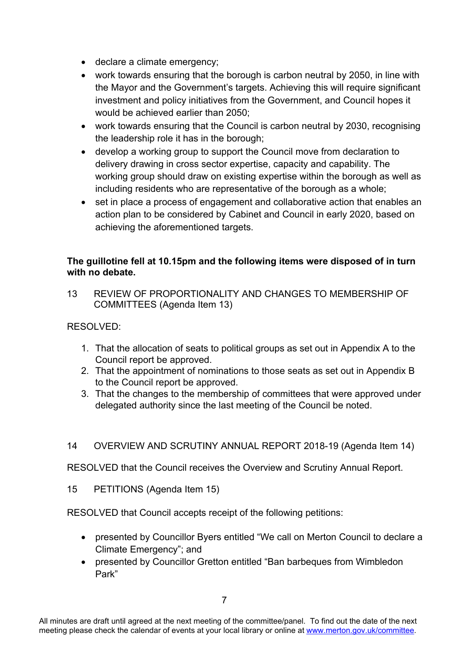- declare a climate emergency;
- work towards ensuring that the borough is carbon neutral by 2050, in line with the Mayor and the Government's targets. Achieving this will require significant investment and policy initiatives from the Government, and Council hopes it would be achieved earlier than 2050;
- work towards ensuring that the Council is carbon neutral by 2030, recognising the leadership role it has in the borough;
- develop a working group to support the Council move from declaration to delivery drawing in cross sector expertise, capacity and capability. The working group should draw on existing expertise within the borough as well as including residents who are representative of the borough as a whole;
- set in place a process of engagement and collaborative action that enables an action plan to be considered by Cabinet and Council in early 2020, based on achieving the aforementioned targets.

## **The guillotine fell at 10.15pm and the following items were disposed of in turn with no debate.**

13 REVIEW OF PROPORTIONALITY AND CHANGES TO MEMBERSHIP OF COMMITTEES (Agenda Item 13)

# RESOLVED:

- 1. That the allocation of seats to political groups as set out in Appendix A to the Council report be approved.
- 2. That the appointment of nominations to those seats as set out in Appendix B to the Council report be approved.
- 3. That the changes to the membership of committees that were approved under delegated authority since the last meeting of the Council be noted.
- 14 OVERVIEW AND SCRUTINY ANNUAL REPORT 2018-19 (Agenda Item 14)

RESOLVED that the Council receives the Overview and Scrutiny Annual Report.

15 PETITIONS (Agenda Item 15)

RESOLVED that Council accepts receipt of the following petitions:

- presented by Councillor Byers entitled "We call on Merton Council to declare a Climate Emergency"; and
- presented by Councillor Gretton entitled "Ban barbeques from Wimbledon Park"